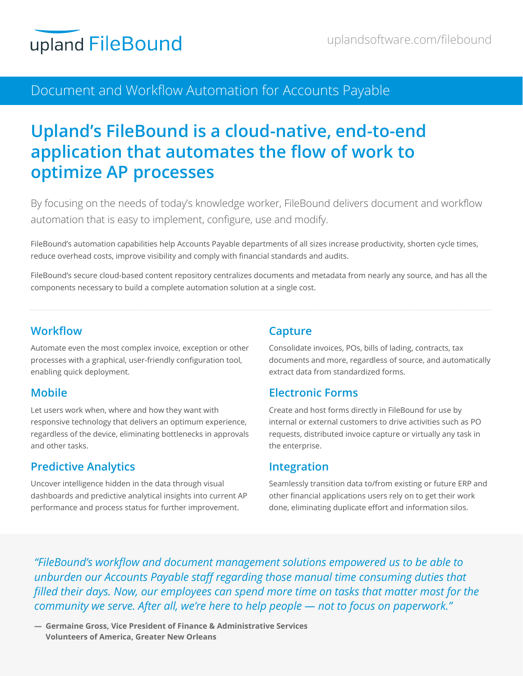# **Document & Workflow Automation** Document and Workflow Automation for Accounts Payable

# **Upland's FileBound is a cloud-native, end-to-end application that automates the flow of work to optimize AP processes**

By focusing on the needs of today's knowledge worker, FileBound delivers document and workflow automation that is easy to implement, configure, use and modify.

FileBound's automation capabilities help Accounts Payable departments of all sizes increase productivity, shorten cycle times, reduce overhead costs, improve visibility and comply with financial standards and audits.

FileBound's secure cloud-based content repository centralizes documents and metadata from nearly any source, and has all the components necessary to build a complete automation solution at a single cost.

#### **Workflow**

Automate even the most complex invoice, exception or other processes with a graphical, user-friendly configuration tool, enabling quick deployment.

### **Mobile**

Let users work when, where and how they want with responsive technology that delivers an optimum experience, regardless of the device, eliminating bottlenecks in approvals and other tasks.

### **Predictive Analytics**

Uncover intelligence hidden in the data through visual dashboards and predictive analytical insights into current AP performance and process status for further improvement.

### **Capture**

Consolidate invoices, POs, bills of lading, contracts, tax documents and more, regardless of source, and automatically extract data from standardized forms.

### **Electronic Forms**

Create and host forms directly in FileBound for use by internal or external customers to drive activities such as PO requests, distributed invoice capture or virtually any task in the enterprise.

#### **Integration**

Seamlessly transition data to/from existing or future ERP and other financial applications users rely on to get their work done, eliminating duplicate effort and information silos.

*"FileBound's workflow and document management solutions empowered us to be able to unburden our Accounts Payable staff regarding those manual time consuming duties that filled their days. Now, our employees can spend more time on tasks that matter most for the community we serve. After all, we're here to help people — not to focus on paperwork."*

**― Germaine Gross, Vice President of Finance & Administrative Services Volunteers of America, Greater New Orleans**